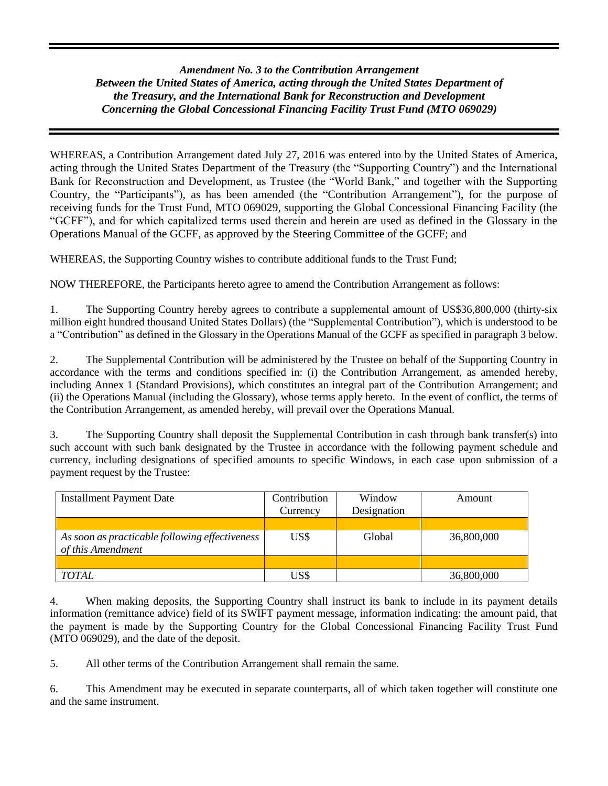## *Amendment No. 3 to the Contribution Arrangement Between the United States of America, acting through the United States Department of the Treasury, and the International Bank for Reconstruction and Development Concerning the Global Concessional Financing Facility Trust Fund (MTO 069029)*

WHEREAS, a Contribution Arrangement dated July 27, 2016 was entered into by the United States of America, acting through the United States Department of the Treasury (the "Supporting Country") and the International Bank for Reconstruction and Development, as Trustee (the "World Bank," and together with the Supporting Country, the "Participants"), as has been amended (the "Contribution Arrangement"), for the purpose of receiving funds for the Trust Fund, MTO 069029, supporting the Global Concessional Financing Facility (the "GCFF"), and for which capitalized terms used therein and herein are used as defined in the Glossary in the Operations Manual of the GCFF, as approved by the Steering Committee of the GCFF; and

WHEREAS, the Supporting Country wishes to contribute additional funds to the Trust Fund;

NOW THEREFORE, the Participants hereto agree to amend the Contribution Arrangement as follows:

1. The Supporting Country hereby agrees to contribute a supplemental amount of US\$36,800,000 (thirty-six million eight hundred thousand United States Dollars) (the "Supplemental Contribution"), which is understood to be a "Contribution" as defined in the Glossary in the Operations Manual of the GCFF as specified in paragraph 3 below.

2. The Supplemental Contribution will be administered by the Trustee on behalf of the Supporting Country in accordance with the terms and conditions specified in: (i) the Contribution Arrangement, as amended hereby, including Annex 1 (Standard Provisions), which constitutes an integral part of the Contribution Arrangement; and (ii) the Operations Manual (including the Glossary), whose terms apply hereto. In the event of conflict, the terms of the Contribution Arrangement, as amended hereby, will prevail over the Operations Manual.

3. The Supporting Country shall deposit the Supplemental Contribution in cash through bank transfer(s) into such account with such bank designated by the Trustee in accordance with the following payment schedule and currency, including designations of specified amounts to specific Windows, in each case upon submission of a payment request by the Trustee:

| <b>Installment Payment Date</b>                                     | Contribution | Window      | Amount     |
|---------------------------------------------------------------------|--------------|-------------|------------|
|                                                                     | Currency     | Designation |            |
|                                                                     |              |             |            |
| As soon as practicable following effectiveness<br>of this Amendment | US\$         | Global      | 36,800,000 |
|                                                                     |              |             |            |
| <b>TOTAL</b>                                                        | US\$         |             | 36,800,000 |

4. When making deposits, the Supporting Country shall instruct its bank to include in its payment details information (remittance advice) field of its SWIFT payment message, information indicating: the amount paid, that the payment is made by the Supporting Country for the Global Concessional Financing Facility Trust Fund (MTO 069029), and the date of the deposit.

5. All other terms of the Contribution Arrangement shall remain the same.

6. This Amendment may be executed in separate counterparts, all of which taken together will constitute one and the same instrument.